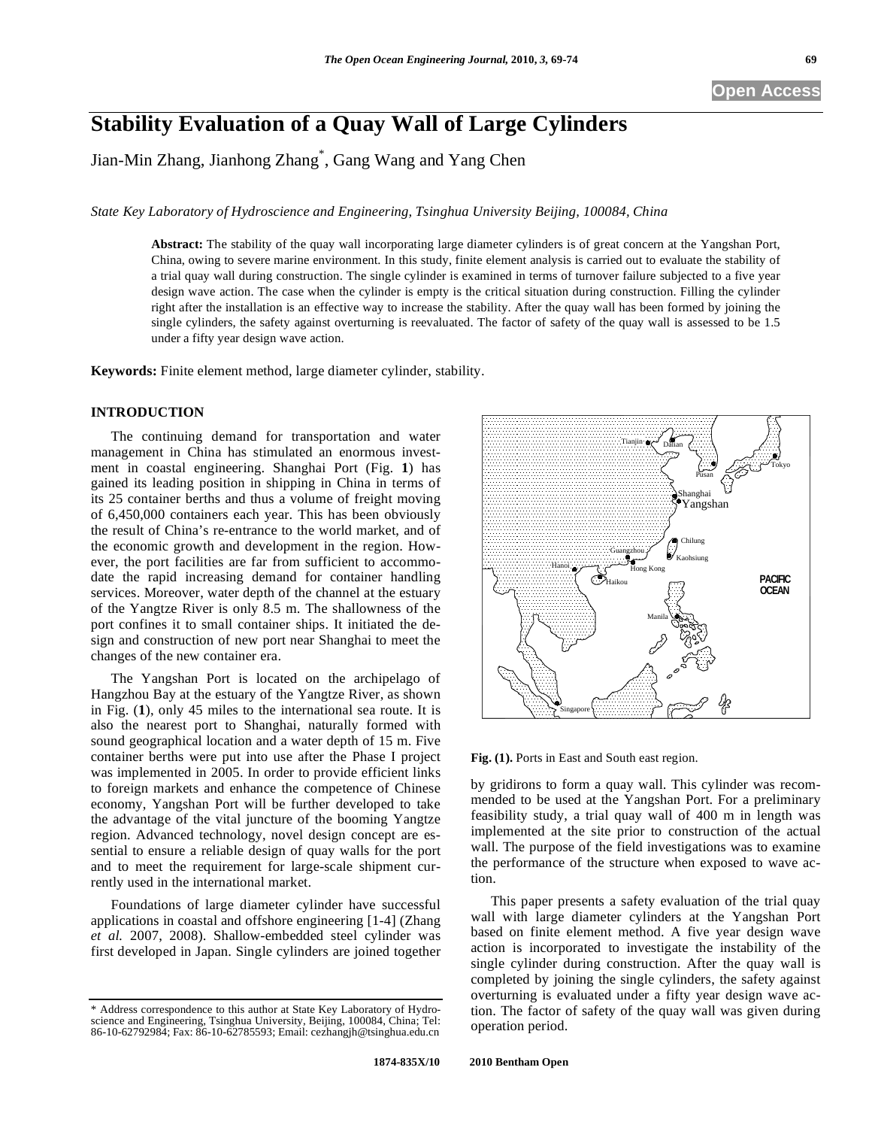# **Stability Evaluation of a Quay Wall of Large Cylinders**

Jian-Min Zhang, Jianhong Zhang\* , Gang Wang and Yang Chen

*State Key Laboratory of Hydroscience and Engineering, Tsinghua University Beijing, 100084, China* 

**Abstract:** The stability of the quay wall incorporating large diameter cylinders is of great concern at the Yangshan Port, China, owing to severe marine environment. In this study, finite element analysis is carried out to evaluate the stability of a trial quay wall during construction. The single cylinder is examined in terms of turnover failure subjected to a five year design wave action. The case when the cylinder is empty is the critical situation during construction. Filling the cylinder right after the installation is an effective way to increase the stability. After the quay wall has been formed by joining the single cylinders, the safety against overturning is reevaluated. The factor of safety of the quay wall is assessed to be 1.5 under a fifty year design wave action.

**Keywords:** Finite element method, large diameter cylinder, stability.

# **INTRODUCTION**

The continuing demand for transportation and water management in China has stimulated an enormous investment in coastal engineering. Shanghai Port (Fig. **1**) has gained its leading position in shipping in China in terms of its 25 container berths and thus a volume of freight moving of 6,450,000 containers each year. This has been obviously the result of China's re-entrance to the world market, and of the economic growth and development in the region. However, the port facilities are far from sufficient to accommodate the rapid increasing demand for container handling services. Moreover, water depth of the channel at the estuary of the Yangtze River is only 8.5 m. The shallowness of the port confines it to small container ships. It initiated the design and construction of new port near Shanghai to meet the changes of the new container era.

The Yangshan Port is located on the archipelago of Hangzhou Bay at the estuary of the Yangtze River, as shown in Fig. (**1**), only 45 miles to the international sea route. It is also the nearest port to Shanghai, naturally formed with sound geographical location and a water depth of 15 m. Five container berths were put into use after the Phase I project was implemented in 2005. In order to provide efficient links to foreign markets and enhance the competence of Chinese economy, Yangshan Port will be further developed to take the advantage of the vital juncture of the booming Yangtze region. Advanced technology, novel design concept are essential to ensure a reliable design of quay walls for the port and to meet the requirement for large-scale shipment currently used in the international market.

Foundations of large diameter cylinder have successful applications in coastal and offshore engineering [1-4] (Zhang *et al.* 2007, 2008). Shallow-embedded steel cylinder was first developed in Japan. Single cylinders are joined together



**Fig. (1).** Ports in East and South east region.

by gridirons to form a quay wall. This cylinder was recommended to be used at the Yangshan Port. For a preliminary feasibility study, a trial quay wall of 400 m in length was implemented at the site prior to construction of the actual wall. The purpose of the field investigations was to examine the performance of the structure when exposed to wave action.

This paper presents a safety evaluation of the trial quay wall with large diameter cylinders at the Yangshan Port based on finite element method. A five year design wave action is incorporated to investigate the instability of the single cylinder during construction. After the quay wall is completed by joining the single cylinders, the safety against overturning is evaluated under a fifty year design wave action. The factor of safety of the quay wall was given during operation period.

<sup>\*</sup> Address correspondence to this author at State Key Laboratory of Hydroscience and Engineering, Tsinghua University, Beijing, 100084, China; Tel: 86-10-62792984; Fax: 86-10-62785593; Email: cezhangjh@tsinghua.edu.cn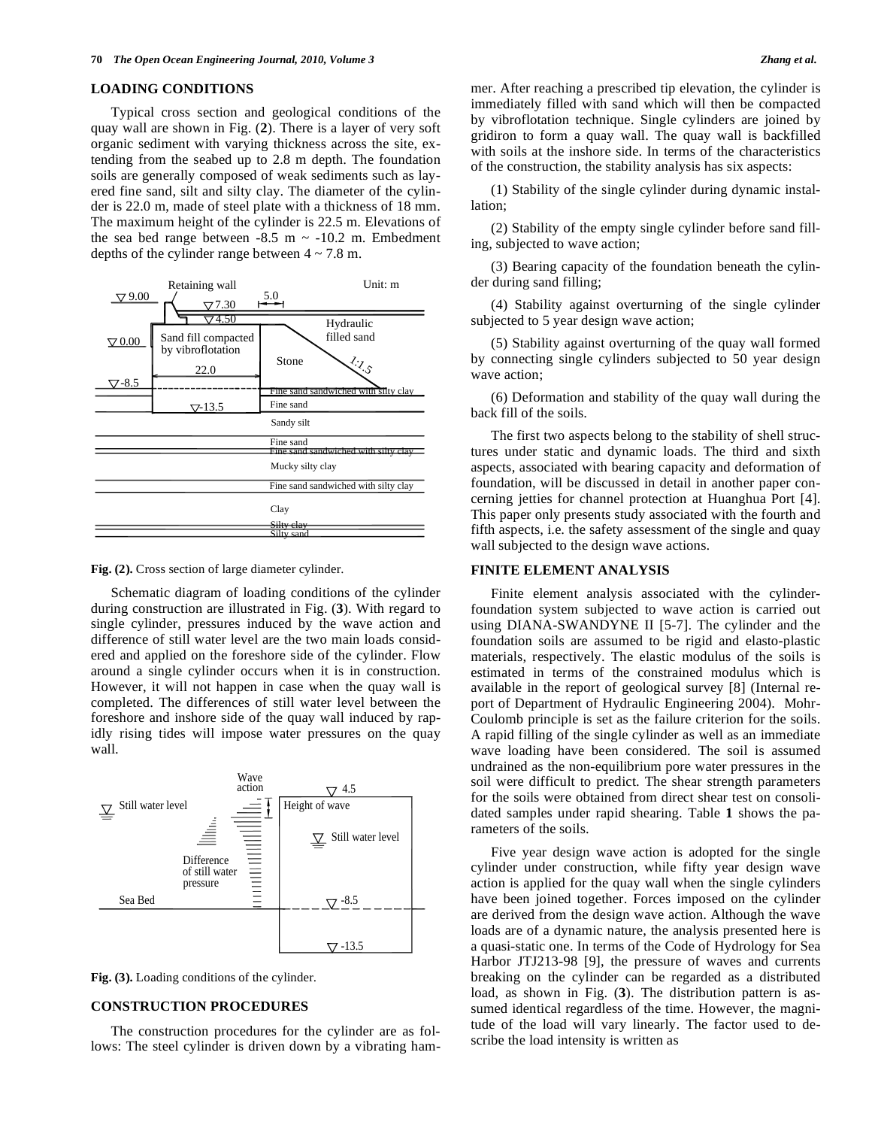# **LOADING CONDITIONS**

Typical cross section and geological conditions of the quay wall are shown in Fig. (**2**). There is a layer of very soft organic sediment with varying thickness across the site, extending from the seabed up to 2.8 m depth. The foundation soils are generally composed of weak sediments such as layered fine sand, silt and silty clay. The diameter of the cylinder is 22.0 m, made of steel plate with a thickness of 18 mm. The maximum height of the cylinder is 22.5 m. Elevations of the sea bed range between  $-8.5$  m  $\sim -10.2$  m. Embedment depths of the cylinder range between  $4 \sim 7.8$  m.



**Fig. (2).** Cross section of large diameter cylinder.

Schematic diagram of loading conditions of the cylinder during construction are illustrated in Fig. (**3**). With regard to single cylinder, pressures induced by the wave action and difference of still water level are the two main loads considered and applied on the foreshore side of the cylinder. Flow around a single cylinder occurs when it is in construction. However, it will not happen in case when the quay wall is completed. The differences of still water level between the foreshore and inshore side of the quay wall induced by rapidly rising tides will impose water pressures on the quay wall.



**Fig. (3).** Loading conditions of the cylinder.

## **CONSTRUCTION PROCEDURES**

The construction procedures for the cylinder are as follows: The steel cylinder is driven down by a vibrating ham-

(1) Stability of the single cylinder during dynamic installation;

(2) Stability of the empty single cylinder before sand filling, subjected to wave action;

(3) Bearing capacity of the foundation beneath the cylinder during sand filling;

(4) Stability against overturning of the single cylinder subjected to 5 year design wave action;

(5) Stability against overturning of the quay wall formed by connecting single cylinders subjected to 50 year design wave action;

(6) Deformation and stability of the quay wall during the back fill of the soils.

The first two aspects belong to the stability of shell structures under static and dynamic loads. The third and sixth aspects, associated with bearing capacity and deformation of foundation, will be discussed in detail in another paper concerning jetties for channel protection at Huanghua Port [4]. This paper only presents study associated with the fourth and fifth aspects, i.e. the safety assessment of the single and quay wall subjected to the design wave actions.

# **FINITE ELEMENT ANALYSIS**

Finite element analysis associated with the cylinderfoundation system subjected to wave action is carried out using DIANA-SWANDYNE II [5-7]. The cylinder and the foundation soils are assumed to be rigid and elasto-plastic materials, respectively. The elastic modulus of the soils is estimated in terms of the constrained modulus which is available in the report of geological survey [8] (Internal report of Department of Hydraulic Engineering 2004). Mohr-Coulomb principle is set as the failure criterion for the soils. A rapid filling of the single cylinder as well as an immediate wave loading have been considered. The soil is assumed undrained as the non-equilibrium pore water pressures in the soil were difficult to predict. The shear strength parameters for the soils were obtained from direct shear test on consolidated samples under rapid shearing. Table **1** shows the parameters of the soils.

Five year design wave action is adopted for the single cylinder under construction, while fifty year design wave action is applied for the quay wall when the single cylinders have been joined together. Forces imposed on the cylinder are derived from the design wave action. Although the wave loads are of a dynamic nature, the analysis presented here is a quasi-static one. In terms of the Code of Hydrology for Sea Harbor JTJ213-98 [9], the pressure of waves and currents breaking on the cylinder can be regarded as a distributed load, as shown in Fig. (**3**). The distribution pattern is assumed identical regardless of the time. However, the magnitude of the load will vary linearly. The factor used to describe the load intensity is written as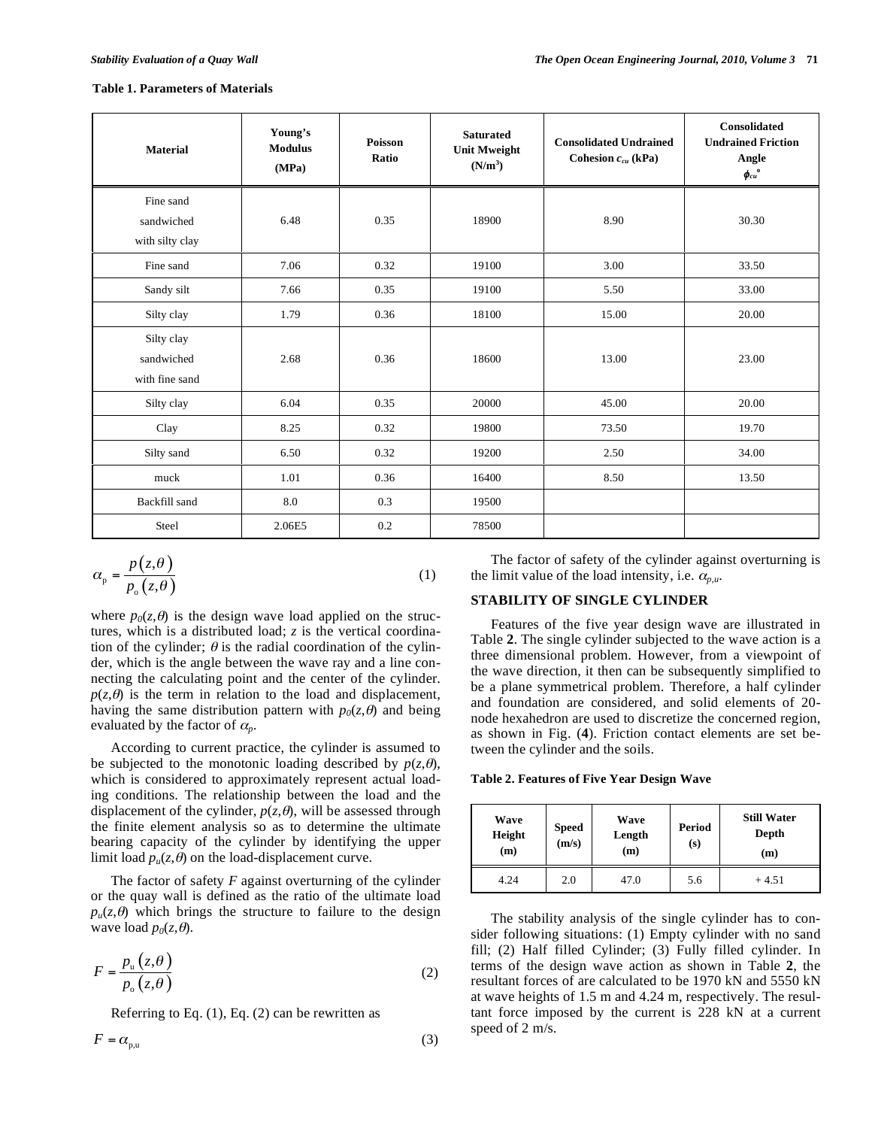## **Table 1. Parameters of Materials**

| <b>Material</b>                            | Young's<br><b>Modulus</b><br>(MPa) | <b>Poisson</b><br>Ratio | <b>Saturated</b><br><b>Unit Mweight</b><br>$(N/m^3)$ | <b>Consolidated Undrained</b><br>Cohesion $c_{cu}$ (kPa) | <b>Consolidated</b><br><b>Undrained Friction</b><br>Angle<br>$\pmb{\phi}_{cu}^{\phantom{cu}o}$ |
|--------------------------------------------|------------------------------------|-------------------------|------------------------------------------------------|----------------------------------------------------------|------------------------------------------------------------------------------------------------|
| Fine sand<br>sandwiched<br>with silty clay | 6.48                               | 0.35                    | 18900                                                | 8.90                                                     | 30.30                                                                                          |
| Fine sand                                  | 7.06                               | 0.32                    | 19100                                                | 3.00                                                     | 33.50                                                                                          |
| Sandy silt                                 | 7.66                               | 0.35                    | 19100                                                | 5.50                                                     | 33.00                                                                                          |
| Silty clay                                 | 1.79                               | 0.36                    | 18100                                                | 15.00                                                    | 20.00                                                                                          |
| Silty clay<br>sandwiched<br>with fine sand | 2.68                               | 0.36                    | 18600                                                | 13.00                                                    | 23.00                                                                                          |
| Silty clay                                 | 6.04                               | 0.35                    | 20000                                                | 45.00                                                    | 20.00                                                                                          |
| Clay                                       | 8.25                               | 0.32                    | 19800                                                | 73.50                                                    | 19.70                                                                                          |
| Silty sand                                 | 6.50                               | 0.32                    | 19200                                                | 2.50                                                     | 34.00                                                                                          |
| muck                                       | 1.01                               | 0.36                    | 16400                                                | 8.50                                                     | 13.50                                                                                          |
| Backfill sand                              | 8.0                                | 0.3                     | 19500                                                |                                                          |                                                                                                |
| Steel                                      | 2.06E5                             | 0.2                     | 78500                                                |                                                          |                                                                                                |

$$
\alpha_{\rm p} = \frac{p(z,\theta)}{p_{\rm o}(z,\theta)}\tag{1}
$$

where  $p_0(z, \theta)$  is the design wave load applied on the structures, which is a distributed load; *z* is the vertical coordination of the cylinder;  $\theta$  is the radial coordination of the cylinder, which is the angle between the wave ray and a line connecting the calculating point and the center of the cylinder.  $p(z, \theta)$  is the term in relation to the load and displacement, having the same distribution pattern with  $p_0(z, \theta)$  and being evaluated by the factor of  $\alpha_p$ .

According to current practice, the cylinder is assumed to be subjected to the monotonic loading described by  $p(z, \theta)$ , which is considered to approximately represent actual loading conditions. The relationship between the load and the displacement of the cylinder,  $p(z, \theta)$ , will be assessed through the finite element analysis so as to determine the ultimate bearing capacity of the cylinder by identifying the upper limit load  $p_u(z, \theta)$  on the load-displacement curve.

The factor of safety *F* against overturning of the cylinder or the quay wall is defined as the ratio of the ultimate load  $p_u(z, \theta)$  which brings the structure to failure to the design wave load  $p_0(z, \theta)$ .

$$
F = \frac{p_u(z, \theta)}{p_o(z, \theta)}
$$
 (2)

Referring to Eq. (1), Eq. (2) can be rewritten as

$$
F = \alpha_{p,u} \tag{3}
$$

The factor of safety of the cylinder against overturning is the limit value of the load intensity, i.e.  $\alpha_{n,\mu}$ .

# **STABILITY OF SINGLE CYLINDER**

Features of the five year design wave are illustrated in Table **2**. The single cylinder subjected to the wave action is a three dimensional problem. However, from a viewpoint of the wave direction, it then can be subsequently simplified to be a plane symmetrical problem. Therefore, a half cylinder and foundation are considered, and solid elements of 20 node hexahedron are used to discretize the concerned region, as shown in Fig. (**4**). Friction contact elements are set between the cylinder and the soils.

**Table 2. Features of Five Year Design Wave** 

| Wave<br>Height<br>(m) | <b>Speed</b><br>(m/s) | Wave<br>Length<br>(m) | Period<br>(s) | <b>Still Water</b><br>Depth<br>(m) |
|-----------------------|-----------------------|-----------------------|---------------|------------------------------------|
| 4.24                  | 2.0                   | 47.0                  | 5.6           | $+4.51$                            |

The stability analysis of the single cylinder has to consider following situations: (1) Empty cylinder with no sand fill; (2) Half filled Cylinder; (3) Fully filled cylinder. In terms of the design wave action as shown in Table **2**, the resultant forces of are calculated to be 1970 kN and 5550 kN at wave heights of 1.5 m and 4.24 m, respectively. The resultant force imposed by the current is 228 kN at a current speed of 2 m/s.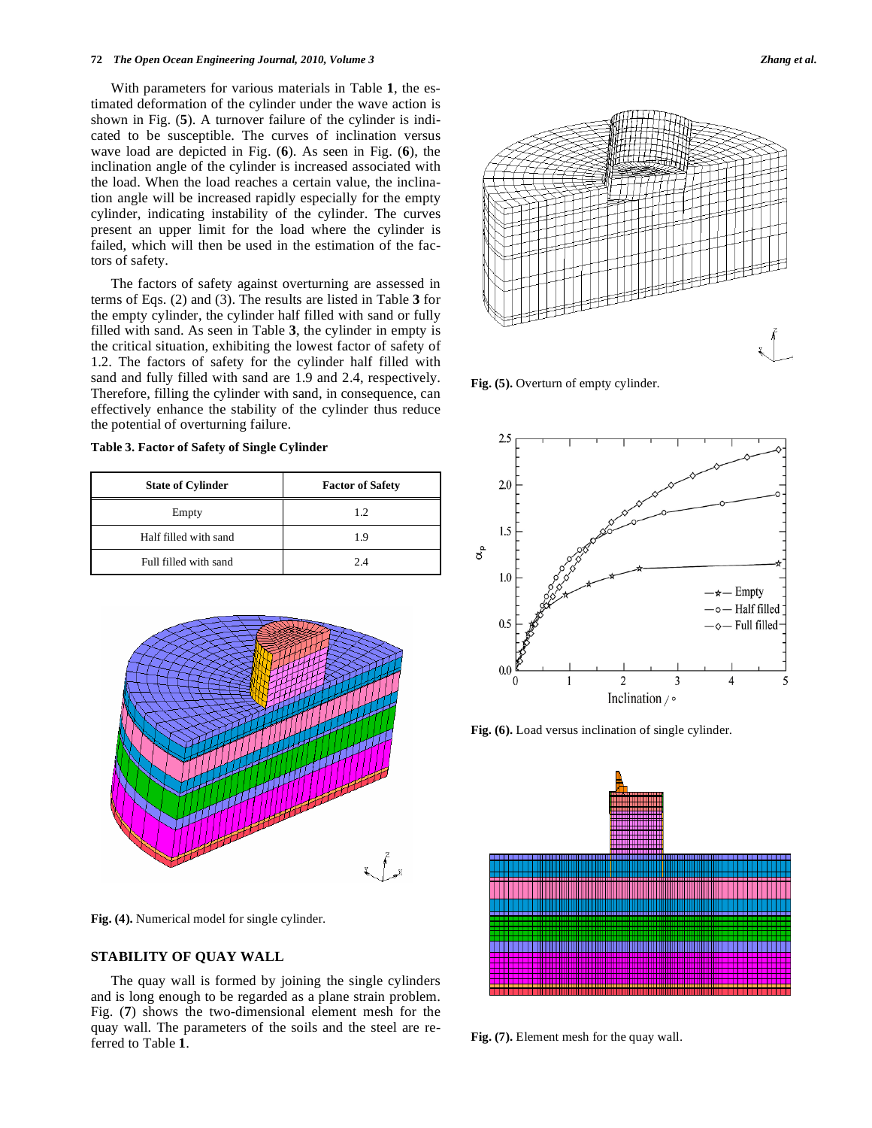#### **72** *The Open Ocean Engineering Journal, 2010, Volume 3 Zhang et al.*

With parameters for various materials in Table **1**, the estimated deformation of the cylinder under the wave action is shown in Fig. (**5**). A turnover failure of the cylinder is indicated to be susceptible. The curves of inclination versus wave load are depicted in Fig. (**6**). As seen in Fig. (**6**), the inclination angle of the cylinder is increased associated with the load. When the load reaches a certain value, the inclination angle will be increased rapidly especially for the empty cylinder, indicating instability of the cylinder. The curves present an upper limit for the load where the cylinder is failed, which will then be used in the estimation of the factors of safety.

The factors of safety against overturning are assessed in terms of Eqs. (2) and (3). The results are listed in Table **3** for the empty cylinder, the cylinder half filled with sand or fully filled with sand. As seen in Table **3**, the cylinder in empty is the critical situation, exhibiting the lowest factor of safety of 1.2. The factors of safety for the cylinder half filled with sand and fully filled with sand are 1.9 and 2.4, respectively. Therefore, filling the cylinder with sand, in consequence, can effectively enhance the stability of the cylinder thus reduce the potential of overturning failure.

# **Table 3. Factor of Safety of Single Cylinder**

| <b>State of Cylinder</b> | <b>Factor of Safety</b> |  |  |
|--------------------------|-------------------------|--|--|
| Empty                    | 1.2                     |  |  |
| Half filled with sand    | 1.9                     |  |  |
| Full filled with sand    | 2.4                     |  |  |



**Fig. (4).** Numerical model for single cylinder.

# **STABILITY OF QUAY WALL**

The quay wall is formed by joining the single cylinders and is long enough to be regarded as a plane strain problem. Fig. (**7**) shows the two-dimensional element mesh for the quay wall. The parameters of the soils and the steel are referred to Table **1**.





**Fig. (5).** Overturn of empty cylinder.



**Fig. (6).** Load versus inclination of single cylinder.



**Fig. (7).** Element mesh for the quay wall.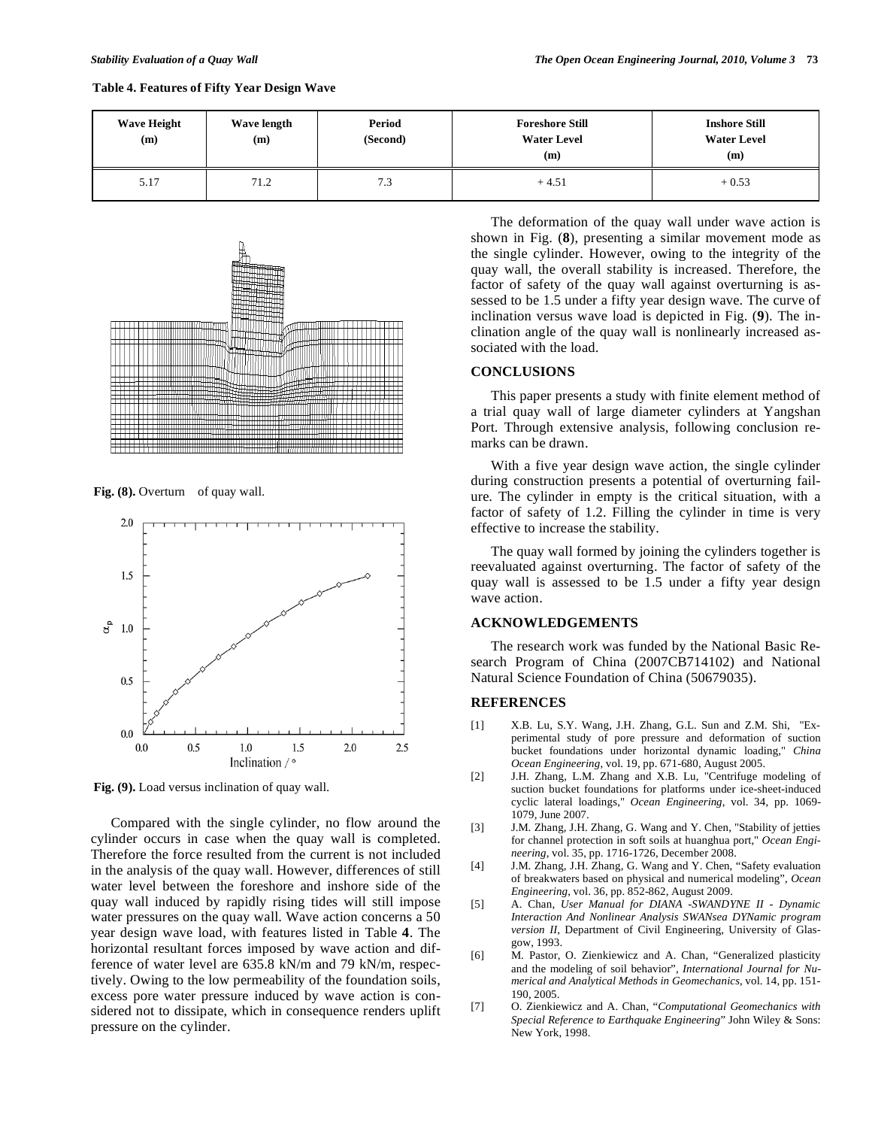| Table 4. Features of Fifty Year Design Wave |  |  |
|---------------------------------------------|--|--|
|                                             |  |  |

| <b>Wave Height</b><br>(m) | Wave length<br>(m) | Period<br>(Second) | <b>Foreshore Still</b><br><b>Water Level</b><br>(m) | <b>Inshore Still</b><br><b>Water Level</b><br>(m) |
|---------------------------|--------------------|--------------------|-----------------------------------------------------|---------------------------------------------------|
| 5.17                      | 71.2               | 7.3                | $+4.51$                                             | $+0.53$                                           |



Fig. (8). Overturn of quay wall.



**Fig. (9).** Load versus inclination of quay wall.

Compared with the single cylinder, no flow around the cylinder occurs in case when the quay wall is completed. Therefore the force resulted from the current is not included in the analysis of the quay wall. However, differences of still water level between the foreshore and inshore side of the quay wall induced by rapidly rising tides will still impose water pressures on the quay wall. Wave action concerns a 50 year design wave load, with features listed in Table **4**. The horizontal resultant forces imposed by wave action and difference of water level are 635.8 kN/m and 79 kN/m, respectively. Owing to the low permeability of the foundation soils, excess pore water pressure induced by wave action is considered not to dissipate, which in consequence renders uplift pressure on the cylinder.

The deformation of the quay wall under wave action is shown in Fig. (**8**), presenting a similar movement mode as the single cylinder. However, owing to the integrity of the quay wall, the overall stability is increased. Therefore, the factor of safety of the quay wall against overturning is assessed to be 1.5 under a fifty year design wave. The curve of inclination versus wave load is depicted in Fig. (**9**). The inclination angle of the quay wall is nonlinearly increased associated with the load.

# **CONCLUSIONS**

This paper presents a study with finite element method of a trial quay wall of large diameter cylinders at Yangshan Port. Through extensive analysis, following conclusion remarks can be drawn.

With a five year design wave action, the single cylinder during construction presents a potential of overturning failure. The cylinder in empty is the critical situation, with a factor of safety of 1.2. Filling the cylinder in time is very effective to increase the stability.

The quay wall formed by joining the cylinders together is reevaluated against overturning. The factor of safety of the quay wall is assessed to be 1.5 under a fifty year design wave action.

# **ACKNOWLEDGEMENTS**

The research work was funded by the National Basic Research Program of China (2007CB714102) and National Natural Science Foundation of China (50679035).

## **REFERENCES**

- [1] X.B. Lu, S.Y. Wang, J.H. Zhang, G.L. Sun and Z.M. Shi, "Experimental study of pore pressure and deformation of suction bucket foundations under horizontal dynamic loading," *China Ocean Engineering*, vol. 19, pp. 671-680, August 2005.
- [2] J.H. Zhang, L.M. Zhang and X.B. Lu, "Centrifuge modeling of suction bucket foundations for platforms under ice-sheet-induced cyclic lateral loadings," *Ocean Engineering*, vol. 34, pp. 1069- 1079, June 2007.
- [3] J.M. Zhang, J.H. Zhang, G. Wang and Y. Chen, "Stability of jetties for channel protection in soft soils at huanghua port," *Ocean Engineering*, vol. 35, pp. 1716-1726, December 2008.
- [4] J.M. Zhang, J.H. Zhang, G. Wang and Y. Chen, "Safety evaluation of breakwaters based on physical and numerical modeling", *Ocean Engineering*, vol. 36, pp. 852-862, August 2009.
- [5] A. Chan, *User Manual for DIANA -SWANDYNE II Dynamic Interaction And Nonlinear Analysis SWANsea DYNamic program version II*, Department of Civil Engineering, University of Glasgow, 1993.
- [6] M. Pastor, O. Zienkiewicz and A. Chan, "Generalized plasticity and the modeling of soil behavior", *International Journal for Numerical and Analytical Methods in Geomechanics*, vol. 14, pp. 151- 190, 2005.
- [7] O. Zienkiewicz and A. Chan, "*Computational Geomechanics with Special Reference to Earthquake Engineering*" John Wiley & Sons: New York, 1998.